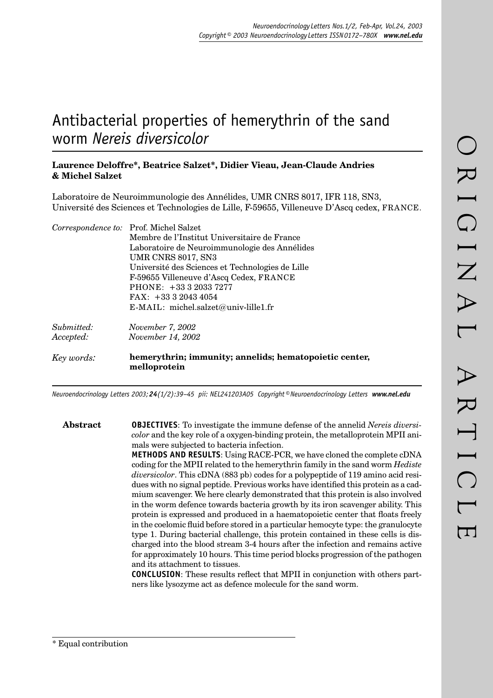# Antibacterial properties of hemerythrin of the sand worm *Nereis diversicolor*

# **Laurence Deloffre\*, Beatrice Salzet\*, Didier Vieau, Jean-Claude Andries & Michel Salzet**

Laboratoire de Neuroimmunologie des Annélides, UMR CNRS 8017, IFR 118, SN3, Université des Sciences et Technologies de Lille, F-59655, Villeneuve D'Ascq cedex, FRANCE.

|            | Correspondence to: Prof. Michel Salzet                                 |
|------------|------------------------------------------------------------------------|
|            | Membre de l'Institut Universitaire de France                           |
|            | Laboratoire de Neuroimmunologie des Annélides                          |
|            | <b>UMR CNRS 8017, SN3</b>                                              |
|            | Université des Sciences et Technologies de Lille                       |
|            | F-59655 Villeneuve d'Ascq Cedex, FRANCE                                |
|            | PHONE: +33 3 2033 7277                                                 |
|            | FAX: $+333320434054$                                                   |
|            | $E\text{-}MAIL:$ michel.salzet@univ-lille1.fr                          |
| Submitted: | <i>November 7, 2002</i>                                                |
| Accepted:  | <i>November 14, 2002</i>                                               |
| Key words: | hemerythrin; immunity; annelids; hematopoietic center,<br>melloprotein |

*Neuroendocrinology Letters 2003; 24(1/2):39–45 pii: NEL241203A05 Copyright © Neuroendocrinology Letters www.nel.edu*

**Abstract OBJECTIVES**: To investigate the immune defense of the annelid *Nereis diversicolor* and the key role of a oxygen-binding protein, the metalloprotein MPII animals were subjected to bacteria infection. **METHODS AND RESULTS**: Using RACE-PCR, we have cloned the complete cDNA coding for the MPII related to the hemerythrin family in the sand worm *Hediste diversicolor*. This cDNA (883 pb) codes for a polypeptide of 119 amino acid residues with no signal peptide. Previous works have identified this protein as a cadmium scavenger. We here clearly demonstrated that this protein is also involved in the worm defence towards bacteria growth by its iron scavenger ability. This protein is expressed and produced in a haematopoietic center that floats freely in the coelomic fluid before stored in a particular hemocyte type: the granulocyte type 1. During bacterial challenge, this protein contained in these cells is discharged into the blood stream 3-4 hours after the infection and remains active for approximately 10 hours. This time period blocks progression of the pathogen and its attachment to tissues.

**CONCLUSION:** These results reflect that MPII in conjunction with others partners like lysozyme act as defence molecule for the sand worm.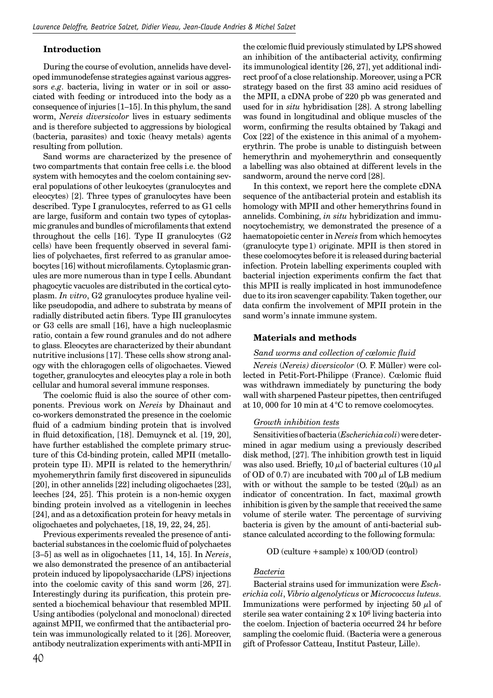# **Introduction**

During the course of evolution, annelids have developed immunodefense strategies against various aggressors *e.g*. bacteria, living in water or in soil or associated with feeding or introduced into the body as a consequence of injuries [1–15]. In this phylum, the sand worm, *Nereis diversicolor* lives in estuary sediments and is therefore subjected to aggressions by biological (bacteria, parasites) and toxic (heavy metals) agents resulting from pollution.

Sand worms are characterized by the presence of two compartments that contain free cells i.e. the blood system with hemocytes and the coelom containing several populations of other leukocytes (granulocytes and eleocytes) [2]. Three types of granulocytes have been described. Type I granulocytes, referred to as G1 cells are large, fusiform and contain two types of cytoplasmic granules and bundles of microfilaments that extend throughout the cells [16]. Type II granulocytes (G2 cells) have been frequently observed in several families of polychaetes, first referred to as granular amoebocytes [16] without microfilaments. Cytoplasmic granules are more numerous than in type I cells. Abundant phagocytic vacuoles are distributed in the cortical cytoplasm. *In vitro*, G2 granulocytes produce hyaline veillike pseudopodia, and adhere to substrata by means of radially distributed actin fibers. Type III granulocytes or G3 cells are small [16], have a high nucleoplasmic ratio, contain a few round granules and do not adhere to glass. Eleocytes are characterized by their abundant nutritive inclusions [17]. These cells show strong analogy with the chloragogen cells of oligochaetes. Viewed together, granulocytes and eleocytes play a role in both cellular and humoral several immune responses.

The coelomic fluid is also the source of other components. Previous work on *Nereis* by Dhainaut and co-workers demonstrated the presence in the coelomic fluid of a cadmium binding protein that is involved in fluid detoxification, [18]. Demuynck et al. [19, 20], have further established the complete primary structure of this Cd-binding protein, called MPII (metalloprotein type II). MPII is related to the hemerythrin/ myohemerythrin family first discovered in sipunculids [20], in other annelids [22] including oligochaetes [23], leeches [24, 25]. This protein is a non-hemic oxygen binding protein involved as a vitellogenin in leeches [24], and as a detoxification protein for heavy metals in oligochaetes and polychaetes, [18, 19, 22, 24, 25].

Previous experiments revealed the presence of antibacterial substances in the coelomic fluid of polychaetes [3–5] as well as in oligochaetes [11, 14, 15]. In *Nereis*, we also demonstrated the presence of an antibacterial protein induced by lipopolysaccharide (LPS) injections into the coelomic cavity of this sand worm [26, 27]. Interestingly during its purification, this protein presented a biochemical behaviour that resembled MPII. Using antibodies (polyclonal and monoclonal) directed against MPII, we confirmed that the antibacterial protein was immunologically related to it [26]. Moreover, antibody neutralization experiments with anti-MPII in

the cœlomic fluid previously stimulated by LPS showed an inhibition of the antibacterial activity, confirming its immunological identity [26, 27], yet additional indirect proof of a close relationship. Moreover, using a PCR strategy based on the first 33 amino acid residues of the MPII, a cDNA probe of 220 pb was generated and used for in *situ* hybridisation [28]. A strong labelling was found in longitudinal and oblique muscles of the worm, confirming the results obtained by Takagi and Cox [22] of the existence in this animal of a myohemerythrin. The probe is unable to distinguish between hemerythrin and myohemerythrin and consequently a labelling was also obtained at different levels in the sandworm, around the nerve cord [28].

In this context, we report here the complete cDNA sequence of the antibacterial protein and establish its homology with MPII and other hemerythrins found in annelids. Combining, *in situ* hybridization and immunocytochemistry, we demonstrated the presence of a haematopoietic center in *Nereis* from which hemocytes (granulocyte type 1) originate. MPII is then stored in these coelomocytes before it is released during bacterial infection. Protein labelling experiments coupled with bacterial injection experiments confirm the fact that this MPII is really implicated in host immunodefence due to its iron scavenger capability. Taken together, our data confirm the involvement of MPII protein in the sand worm's innate immune system.

## **Materials and methods**

#### *Sand worms and collection of cœlomic fl uid*

*Nereis* (*Nereis) diversicolor* (O. F. Müller) were collected in Petit-Fort-Philippe (France). Cœlomic fluid was withdrawn immediately by puncturing the body wall with sharpened Pasteur pipettes, then centrifuged at 10, 000 for 10 min at 4 °C to remove coelomocytes.

#### *Growth inhibition tests*

Sensitivities of bacteria (*Escherichia coli*) were determined in agar medium using a previously described disk method, [27]. The inhibition growth test in liquid was also used. Briefly, 10  $\mu$ l of bacterial cultures (10  $\mu$ l of OD of 0.7) are incubated with 700  $\mu$ l of LB medium with or without the sample to be tested  $(20\mu l)$  as an indicator of concentration. In fact, maximal growth inhibition is given by the sample that received the same volume of sterile water. The percentage of surviving bacteria is given by the amount of anti-bacterial substance calculated according to the following formula:

#### OD (culture +sample) x 100/OD (control)

#### *Bacteria*

Bacterial strains used for immunization were *Escherichia coli*, *Vibrio algenolyticus* or *Micrococcus luteus.* Immunizations were performed by injecting 50  $\mu$ l of sterile sea water containing 2 x 106 living bacteria into the coelom. Injection of bacteria occurred 24 hr before sampling the coelomic fluid. (Bacteria were a generous gift of Professor Catteau, Institut Pasteur, Lille).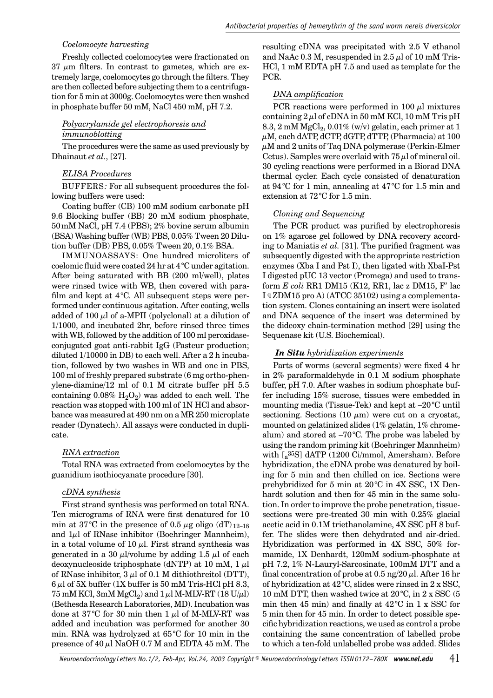#### *Coelomocyte harvesting*

Freshly collected coelomocytes were fractionated on  $37 \mu m$  filters. In contrast to gametes, which are extremely large, coelomocytes go through the filters. They are then collected before subjecting them to a centrifugation for 5 min at 3000g. Coelomocytes were then washed in phosphate buffer 50 mM, NaCl 450 mM, pH 7.2.

# *Polyacrylamide gel electrophoresis and immunoblotting*

The procedures were the same as used previously by Dhainaut *et al.*, [27].

# *ELISA Procedures*

BUFFERS*:* For all subsequent procedures the following buffers were used:

Coating buffer (CB) 100 mM sodium carbonate pH 9.6 Blocking buffer (BB) 20 mM sodium phosphate, 50 mM NaCl, pH 7.4 (PBS); 2% bovine serum albumin (BSA) Washing buffer (WB) PBS, 0.05% Tween 20 Dilution buffer (DB) PBS, 0.05% Tween 20, 0.1% BSA.

IMMUNOASSAYS: One hundred microliters of coelomic fluid were coated 24 hr at  $4^{\circ}$ C under agitation. After being saturated with BB (200 ml/well), plates were rinsed twice with WB, then covered with parafilm and kept at  $4^{\circ}$ C. All subsequent steps were performed under continuous agitation. After coating, wells added of 100  $\mu$ l of a-MPII (polyclonal) at a dilution of 1/1000, and incubated 2hr, before rinsed three times with WB, followed by the addition of 100 ml peroxidaseconjugated goat anti-rabbit IgG (Pasteur production; diluted 1/10000 in DB) to each well. After a 2 h incubation, followed by two washes in WB and one in PBS, 100 ml of freshly prepared substrate (6 mg ortho-phenylene-diamine/12 ml of 0.1 M citrate buffer pH 5.5 containing  $0.08\%$  H<sub>2</sub>O<sub>2</sub>) was added to each well. The reaction was stopped with 100 ml of 1N HCl and absorbance was measured at 490 nm on a MR 250 microplate reader (Dynatech). All assays were conducted in duplicate.

## *RNA extraction*

Total RNA was extracted from coelomocytes by the guanidium isothiocyanate procedure [30].

# *cDNA synthesis*

First strand synthesis was performed on total RNA. Ten micrograms of RNA were first denatured for 10 min at 37<sup>°</sup>C in the presence of 0.5  $\mu$ g oligo (dT) 12–18 and  $1\mu$ l of RNase inhibitor (Boehringer Mannheim), in a total volume of 10  $\mu$ l. First strand synthesis was generated in a 30  $\mu$ l/volume by adding 1.5  $\mu$ l of each deoxynucleoside triphosphate (dNTP) at 10 mM,  $1 \mu$ l of RNase inhibitor,  $3 \mu$ l of 0.1 M dithiothreitol (DTT),  $6 \mu$ l of 5X buffer (1X buffer is 50 mM Tris-HCl pH 8.3,  $75 \text{ mM KCl}, 3 \text{ mM MgCl}_2$ ) and  $1 \mu$ l M-MLV-RT (18 U/ $\mu$ l) (Bethesda Research Laboratories, MD). Incubation was done at  $37^{\circ}$ C for 30 min then 1  $\mu$ l of M-MLV-RT was added and incubation was performed for another 30 min. RNA was hydrolyzed at 65 °C for 10 min in the presence of  $40 \mu$ l NaOH 0.7 M and EDTA 45 mM. The resulting cDNA was precipitated with 2.5 V ethanol and NaAc  $0.3$  M, resuspended in  $2.5 \mu$ l of 10 mM Tris-HCl, 1 mM EDTA pH 7.5 and used as template for the PCR.

# *DNA amplifi cation*

PCR reactions were performed in 100  $\mu$ l mixtures containing  $2 \mu$ l of cDNA in 50 mM KCl, 10 mM Tris pH 8.3, 2 mM  $MgCl<sub>2</sub>$ , 0.01% (w/v) gelatin, each primer at 1  $\mu$ M, each dATP, dCTP, dGTP, dTTP, (Pharmacia) at 100  $\mu$ M and 2 units of Taq DNA polymerase (Perkin-Elmer Cetus). Samples were overlaid with  $75 \mu$ l of mineral oil. 30 cycling reactions were performed in a Biorad DNA thermal cycler. Each cycle consisted of denaturation at 94 °C for 1 min, annealing at 47 °C for 1.5 min and extension at 72 °C for 1.5 min.

# *Cloning and Sequencing*

The PCR product was purified by electrophoresis on 1% agarose gel followed by DNA recovery according to Maniatis *et al.* [31]. The purified fragment was subsequently digested with the appropriate restriction enzymes (Xba I and Pst I), then ligated with XbaI-Pst I digested pUC 13 vector (Promega) and used to transform *E coli* RR1 DM15 (K12, RR1, lac z DM15, F' lac I q ZDM15 pro A) (ATCC 35102) using a complementation system. Clones containing an insert were isolated and DNA sequence of the insert was determined by the dideoxy chain-termination method [29] using the Sequenase kit (U.S. Biochemical).

# *In Situ hybridization experiments*

Parts of worms (several segments) were fixed 4 hr in 2% paraformaldehyde in 0.1 M sodium phosphate buffer, pH 7.0. After washes in sodium phosphate buffer including 15% sucrose, tissues were embedded in mounting media (Tissue-Tek) and kept at –20 °C until sectioning. Sections (10  $\mu$ m) were cut on a cryostat, mounted on gelatinized slides (1% gelatin, 1% chromealum) and stored at  $-70^{\circ}$ C. The probe was labeled by using the random priming kit (Boehringer Mannheim) with [a 35S] dATP (1200 Ci/mmol, Amersham). Before hybridization, the cDNA probe was denatured by boiling for 5 min and then chilled on ice. Sections were prehybridized for 5 min at 20 °C in 4X SSC, 1X Denhardt solution and then for 45 min in the same solution. In order to improve the probe penetration, tissuesections were pre-treated 30 min with 0.25% glacial acetic acid in 0.1M triethanolamine, 4X SSC pH 8 buffer. The slides were then dehydrated and air-dried. Hybridization was performed in 4X SSC, 50% formamide, 1X Denhardt, 120mM sodium-phosphate at pH 7.2, 1% N-Lauryl-Sarcosinate, 100mM DTT and a final concentration of probe at  $0.5$  ng/20  $\mu$ l. After 16 hr of hybridization at  $42^{\circ}$ C, slides were rinsed in 2 x SSC, 10 mM DTT, then washed twice at 20 °C, in 2 x SSC (5 min then 45 min) and finally at  $42^{\circ}$ C in 1 x SSC for 5 min then for 45 min. In order to detect possible specific hybridization reactions, we used as control a probe containing the same concentration of labelled probe to which a ten-fold unlabelled probe was added. Slides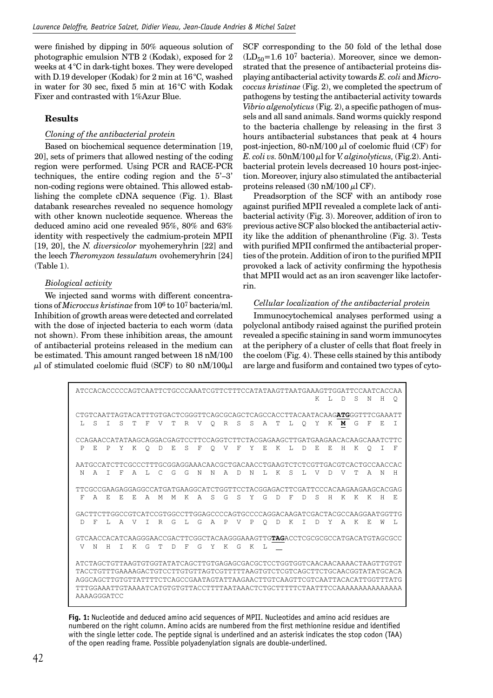were finished by dipping in  $50\%$  aqueous solution of photographic emulsion NTB 2 (Kodak), exposed for 2 weeks at 4 °C in dark-tight boxes. They were developed with D.19 developer (Kodak) for 2 min at 16 °C, washed in water for 30 sec, fixed 5 min at  $16^{\circ}$ C with Kodak Fixer and contrasted with 1%Azur Blue.

# **Results**

## *Cloning of the antibacterial protein*

Based on biochemical sequence determination [19, 20], sets of primers that allowed nesting of the coding region were performed. Using PCR and RACE-PCR techniques, the entire coding region and the 5'–3' non-coding regions were obtained. This allowed establishing the complete cDNA sequence (Fig. 1). Blast databank researches revealed no sequence homology with other known nucleotide sequence. Whereas the deduced amino acid one revealed 95%, 80% and 63% identity with respectively the cadmium-protein MPII [19, 20], the *N. diversicolor* myohemeryhrin [22] and the leech *Theromyzon tessulatum* ovohemeryhrin [24] (Table 1).

# *Biological activity*

We injected sand worms with different concentrations of *Microccus kristinae* from 106 to 107 bacteria/ml. Inhibition of growth areas were detected and correlated with the dose of injected bacteria to each worm (data not shown). From these inhibition areas, the amount of antibacterial proteins released in the medium can be estimated. This amount ranged between 18 nM/100  $\mu$ l of stimulated coelomic fluid (SCF) to 80 nM/100 $\mu$ l

SCF corresponding to the 50 fold of the lethal dose  $(LD<sub>50</sub>=1.6 10<sup>7</sup> bacteria)$ . Moreover, since we demonstrated that the presence of antibacterial proteins displaying antibacterial activity towards *E. coli* and *Micrococcus kristinae* (Fig. 2), we completed the spectrum of pathogens by testing the antibacterial activity towards *Vibrio algenolyticus* (Fig. 2), a specific pathogen of mussels and all sand animals. Sand worms quickly respond to the bacteria challenge by releasing in the first 3 hours antibacterial substances that peak at 4 hours post-injection, 80-nM/100  $\mu$ l of coelomic fluid (CF) for *E. coli vs.* 50nM/100 µl for *V. alginolyticus,* (Fig.2). Antibacterial protein levels decreased 10 hours post-injection. Moreover, injury also stimulated the antibacterial proteins released  $(30 \text{ nM}/100 \mu \text{I CF})$ .

Preadsorption of the SCF with an antibody rose against purified MPII revealed a complete lack of antibacterial activity (Fig. 3). Moreover, addition of iron to previous active SCF also blocked the antibacterial activity like the addition of phenanthroline (Fig. 3). Tests with purified MPII confirmed the antibacterial properties of the protein. Addition of iron to the purified MPII provoked a lack of activity confirming the hypothesis that MPII would act as an iron scavenger like lactoferrin.

# *Cellular localization of the antibacterial protein*

Immunocytochemical analyses performed using a polyclonal antibody raised against the purified protein revealed a specific staining in sand worm immunocytes at the periphery of a cluster of cells that float freely in the coelom (Fig. 4). These cells stained by this antibody are large and fusiform and contained two types of cyto-

 ATCCACACCCCCAGTCAATTCTGCCCAAATCGTTCTTTCCATATAAGTTAATGAAAGTTGGATTCCAATCACCAA K L D S N H Q CTGTCAATTAGTACATTTGTGACTCGGGTTCAGCGCAGCTCAGCCACCTTACAATACAAG**ATG**GGTTTCGAAATT L S I S T F V T R V Q R S S A T L Q Y K **M** G F E I CCAGAACCATATAAGCAGGACGAGTCCTTCCAGGTCTTCTACGAGAAGCTTGATGAAGAACACAAGCAAATCTTC P E P Y K Q D E S F Q V F Y E K L D E E H K Q I F AATGCCATCTTCGCCCTTTGCGGAGGAAACAACGCTGACAACCTGAAGTCTCTCGTTGACGTCACTGCCAACCAC N A I F A L C G G N N A D N L K S L V D V T A N H TTCGCCGAAGAGGAGGCCATGATGAAGGCATCTGGTTCCTACGGAGACTTCGATTCCCACAAGAAGAAGCACGAG F A E E E A M M K A S G S Y G D F D S H K K K H E GACTTCTTGGCCGTCATCCGTGGCCTTGGAGCCCCAGTGCCCCAGGACAAGATCGACTACGCCAAGGAATGGTTG D F L A V I R G L G A P V P Q D K I D Y A K E W L GTCAACCACATCAAGGGAACCGACTTCGGCTACAAGGGAAAGTTG**TAG**ACCTCGCGCGCCATGACATGTAGCGCC V N H I K G T D F G Y K G K L ATCTAGCTGTTAAGTGTGGTATATCAGCTTGTGAGAGCGACGCTCCTGGTGGTCAACAACAAAACTAAGTTGTGT TACCTGTTTGAAAAGACTGTCCTTGTGTTAGTCGTTTTTAAGTGTCTCGTCAGCTTCTGCAACGGTATATGCACA AGGCAGCTTGTGTTATTTTCTCAGCCGAATAGTATTAAGAACTTGTCAAGTTCGTCAATTACACATTGGTTTATG TTTGGAAATTGTAAAATCATGTGTGTTACCTTTTAATAAACTCTGCTTTTTCTAATTTCCAAAAAAAAAAAAAAA AAAAGGGATCC

**Fig. 1:** Nucleotide and deduced amino acid sequences of MPII. Nucleotides and amino acid residues are numbered on the right column. Amino acids are numbered from the first methionine residue and identified with the single letter code. The peptide signal is underlined and an asterisk indicates the stop codon (TAA) of the open reading frame. Possible polyadenylation signals are double-underlined.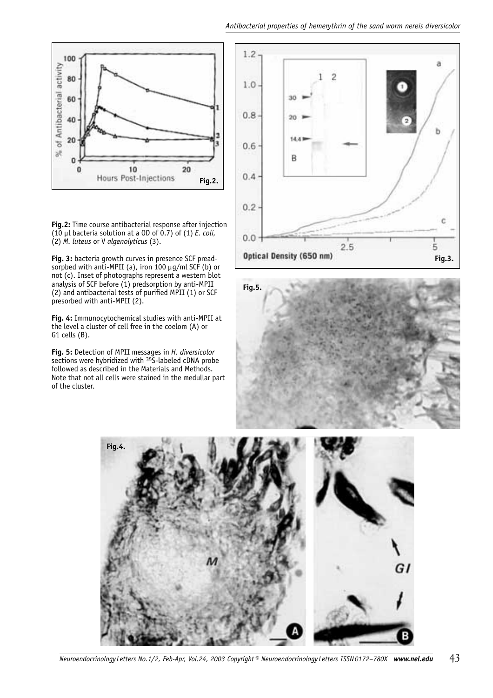#### *Antibacterial properties of hemerythrin of the sand worm nereis diversicolor*



**Fig.2:** Time course antibacterial response after injection (10 µl bacteria solution at a OD of 0.7) of (1) *E. coli,* (2) *M. luteus* or V *algenolyticus* (3).

**Fig. 3:** bacteria growth curves in presence SCF preadsorpbed with anti-MPII (a), iron 100 µg/ml SCF (b) or not (c). Inset of photographs represent a western blot analysis of SCF before (1) predsorption by anti-MPII  $(2)$  and antibacterial tests of purified MPII  $(1)$  or SCF presorbed with anti-MPII (2).

**Fig. 4:** Immunocytochemical studies with anti-MPII at the level a cluster of cell free in the coelom (A) or G1 cells (B).

**Fig. 5:** Detection of MPII messages in *H. diversicolor*  sections were hybridized with 35S-labeled cDNA probe followed as described in the Materials and Methods. Note that not all cells were stained in the medullar part of the cluster.





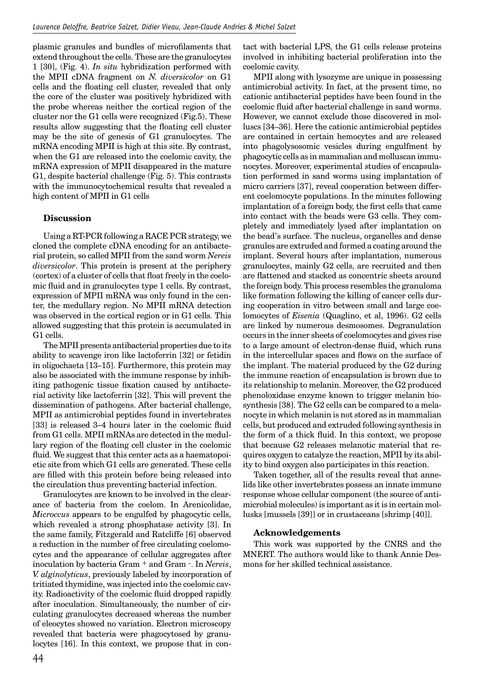plasmic granules and bundles of microfilaments that extend throughout the cells. These are the granulocytes 1 [30], (Fig. 4). *In situ* hybridization performed with the MPII cDNA fragment on *N. diversicolor* on G1 cells and the floating cell cluster, revealed that only the core of the cluster was positively hybridized with the probe whereas neither the cortical region of the cluster nor the G1 cells were recognized (Fig.5). These results allow suggesting that the floating cell cluster may be the site of genesis of G1 granulocytes. The mRNA encoding MPII is high at this site. By contrast, when the G1 are released into the coelomic cavity, the mRNA expression of MPII disappeared in the mature G1, despite bacterial challenge (Fig. 5). This contrasts with the immunocytochemical results that revealed a high content of MPII in G1 cells

## **Discussion**

Using a RT-PCR following a RACE PCR strategy, we cloned the complete cDNA encoding for an antibacterial protein, so called MPII from the sand worm *Nereis diversicolor*. This protein is present at the periphery (cortex) of a cluster of cells that float freely in the coelomic fluid and in granulocytes type 1 cells. By contrast, expression of MPII mRNA was only found in the center, the medullary region. No MPII mRNA detection was observed in the cortical region or in G1 cells. This allowed suggesting that this protein is accumulated in G1 cells.

The MPII presents antibacterial properties due to its ability to scavenge iron like lactoferrin [32] or fetidin in oligochaeta [13–15]. Furthermore, this protein may also be associated with the immune response by inhibiting pathogenic tissue fixation caused by antibacterial activity like lactoferrin [32]. This will prevent the dissemination of pathogens. After bacterial challenge, MPII as antimicrobial peptides found in invertebrates [33] is released 3–4 hours later in the coelomic fluid from G1 cells. MPII mRNAs are detected in the medullary region of the floating cell cluster in the coelomic fluid. We suggest that this center acts as a haematopoietic site from which G1 cells are generated. These cells are filled with this protein before being released into the circulation thus preventing bacterial infection.

Granulocytes are known to be involved in the clearance of bacteria from the coelom. In Arenicolidae, *Microccus* appears to be engulfed by phagocytic cells, which revealed a strong phosphatase activity [3]. In the same family, Fitzgerald and Ratcliffe [6] observed a reduction in the number of free circulating coelomocytes and the appearance of cellular aggregates after inoculation by bacteria Gram + and Gram –. In *Nereis*, *V. alginolyticus*, previously labeled by incorporation of tritiated thymidine, was injected into the coelomic cavity. Radioactivity of the coelomic fluid dropped rapidly after inoculation. Simultaneously, the number of circulating granulocytes decreased whereas the number of eleocytes showed no variation. Electron microscopy revealed that bacteria were phagocytosed by granulocytes [16]. In this context, we propose that in contact with bacterial LPS, the G1 cells release proteins involved in inhibiting bacterial proliferation into the coelomic cavity.

MPII along with lysozyme are unique in possessing antimicrobial activity. In fact, at the present time, no cationic antibacterial peptides have been found in the coelomic fluid after bacterial challenge in sand worms. However, we cannot exclude those discovered in molluscs [34–36]. Here the cationic antimicrobial peptides are contained in certain hemocytes and are released into phagolysosomic vesicles during engulfment by phagocytic cells as in mammalian and molluscan immuno cytes. Moreover, experimental studies of encapsulation performed in sand worms using implantation of micro carriers [37], reveal cooperation between different coelomocyte populations. In the minutes following implantation of a foreign body, the first cells that came into contact with the beads were G3 cells. They completely and immediately lysed after implantation on the bead's surface. The nucleus, organelles and dense granules are extruded and formed a coating around the implant. Several hours after implantation, numerous granulocytes, mainly G2 cells, are recruited and then are flattened and stacked as concentric sheets around the foreign body. This process resembles the granuloma like formation following the killing of cancer cells during cooperation in vitro between small and large coelomocytes of *Eisenia* (Quaglino, et al, 1996). G2 cells are linked by numerous desmosomes. Degranulation occurs in the inner sheets of coelomocytes and gives rise to a large amount of electron-dense fluid, which runs in the intercellular spaces and flows on the surface of the implant. The material produced by the G2 during the immune reaction of encapsulation is brown due to its relationship to melanin. Moreover, the G2 produced phenoloxidase enzyme known to trigger melanin biosynthesis [38]. The G2 cells can be compared to a melanocyte in which melanin is not stored as in mammalian cells, but produced and extruded following synthesis in the form of a thick fluid. In this context, we propose that because G2 releases melanotic material that requires oxygen to catalyze the reaction, MPII by its ability to bind oxygen also participates in this reaction.

Taken together, all of the results reveal that annelids like other invertebrates possess an innate immune response whose cellular component (the source of antimicrobial molecules) is important as it is in certain mollusks [mussels [39]] or in crustaceans [shrimp [40]].

## **Acknowledgements**

This work was supported by the CNRS and the MNERT. The authors would like to thank Annie Desmons for her skilled technical assistance.